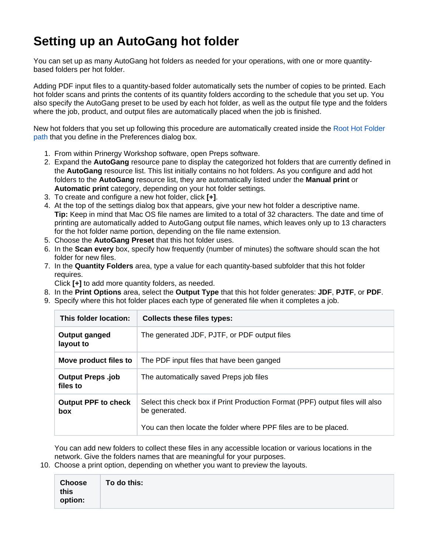## **Setting up an AutoGang hot folder**

You can set up as many AutoGang hot folders as needed for your operations, with one or more quantitybased folders per hot folder.

Adding PDF input files to a quantity-based folder automatically sets the number of copies to be printed. Each hot folder scans and prints the contents of its quantity folders according to the schedule that you set up. You also specify the AutoGang preset to be used by each hot folder, as well as the output file type and the folders where the job, product, and output files are automatically placed when the job is finished.

New hot folders that you set up following this procedure are automatically created inside the [Root Hot Folder](https://workflowhelp.kodak.com/display/PREPS71/Setting+the+root+hot+folder)  [path](https://workflowhelp.kodak.com/display/PREPS71/Setting+the+root+hot+folder) that you define in the Preferences dialog box.

- 1. From within Prinergy Workshop software, open Preps software.
- 2. Expand the **AutoGang** resource pane to display the categorized hot folders that are currently defined in the **AutoGang** resource list. This list initially contains no hot folders. As you configure and add hot folders to the **AutoGang** resource list, they are automatically listed under the **Manual print** or **Automatic print** category, depending on your hot folder settings.
- 3. To create and configure a new hot folder, click **[+]**.
- 4. At the top of the settings dialog box that appears, give your new hot folder a descriptive name. **Tip:** Keep in mind that Mac OS file names are limited to a total of 32 characters. The date and time of printing are automatically added to AutoGang output file names, which leaves only up to 13 characters for the hot folder name portion, depending on the file name extension.
- 5. Choose the **AutoGang Preset** that this hot folder uses.
- 6. In the **Scan every** box, specify how frequently (number of minutes) the software should scan the hot folder for new files.
- 7. In the **Quantity Folders** area, type a value for each quantity-based subfolder that this hot folder requires.

Click **[+]** to add more quantity folders, as needed.

- 8. In the **Print Options** area, select the **Output Type** that this hot folder generates: **JDF**, **PJTF**, or **PDF**.
- 9. Specify where this hot folder places each type of generated file when it completes a job.

| This folder location:                    | <b>Collects these files types:</b>                                                             |
|------------------------------------------|------------------------------------------------------------------------------------------------|
| Output ganged<br>layout to               | The generated JDF, PJTF, or PDF output files                                                   |
| Move product files to                    | The PDF input files that have been ganged                                                      |
| <b>Output Preps.job</b><br>files to      | The automatically saved Preps job files                                                        |
| <b>Output PPF to check</b><br><b>box</b> | Select this check box if Print Production Format (PPF) output files will also<br>be generated. |
|                                          | You can then locate the folder where PPF files are to be placed.                               |

You can add new folders to collect these files in any accessible location or various locations in the network. Give the folders names that are meaningful for your purposes.

10. Choose a print option, depending on whether you want to preview the layouts.